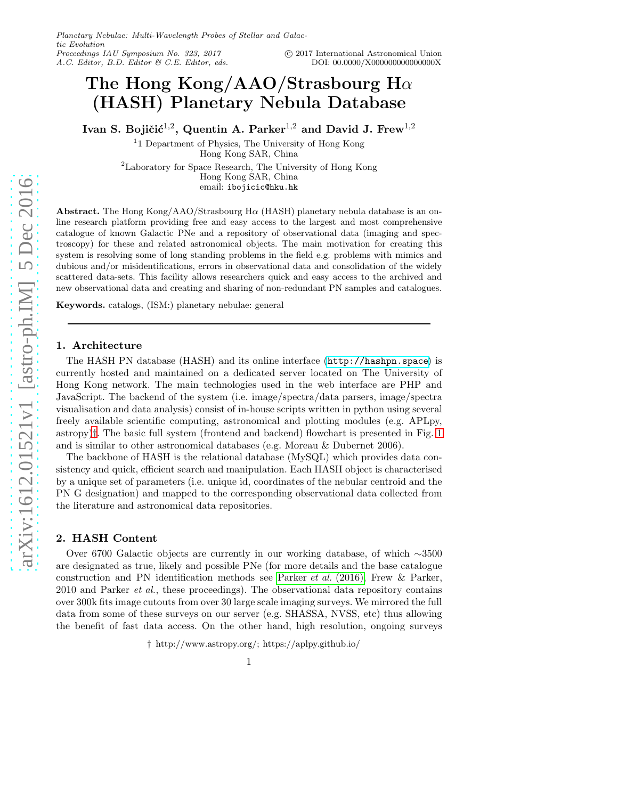# The Hong Kong/AAO/Strasbourg H $\alpha$ (HASH) Planetary Nebula Database

Ivan S. Bojičić $^{1,2}$ , Quentin A. Parker $^{1,2}$  and David J. Frew $^{1,2}$ 

<sup>1</sup>1 Department of Physics, The University of Hong Kong Hong Kong SAR, China <sup>2</sup>Laboratory for Space Research, The University of Hong Kong Hong Kong SAR, China email: ibojicic@hku.hk

Abstract. The Hong Kong/AAO/Strasbourg Hα (HASH) planetary nebula database is an online research platform providing free and easy access to the largest and most comprehensive catalogue of known Galactic PNe and a repository of observational data (imaging and spectroscopy) for these and related astronomical objects. The main motivation for creating this system is resolving some of long standing problems in the field e.g. problems with mimics and dubious and/or misidentifications, errors in observational data and consolidation of the widely scattered data-sets. This facility allows researchers quick and easy access to the archived and new observational data and creating and sharing of non-redundant PN samples and catalogues.

Keywords. catalogs, (ISM:) planetary nebulae: general

### 1. Architecture

The HASH PN database (HASH) and its online interface (<http://hashpn.space>) is currently hosted and maintained on a dedicated server located on The University of Hong Kong network. The main technologies used in the web interface are PHP and JavaScript. The backend of the system (i.e. image/spectra/data parsers, image/spectra visualisation and data analysis) consist of in-house scripts written in python using several freely available scientific computing, astronomical and plotting modules (e.g. APLpy, astropy)[†](#page-0-0). The basic full system (frontend and backend) flowchart is presented in Fig. [1](#page-1-0) and is similar to other astronomical databases (e.g. Moreau & Dubernet 2006).

The backbone of HASH is the relational database (MySQL) which provides data consistency and quick, efficient search and manipulation. Each HASH object is characterised by a unique set of parameters (i.e. unique id, coordinates of the nebular centroid and the PN G designation) and mapped to the corresponding observational data collected from the literature and astronomical data repositories.

## 2. HASH Content

Over 6700 Galactic objects are currently in our working database, of which ∼3500 are designated as true, likely and possible PNe (for more details and the base catalogue construction and PN identification methods see [Parker](#page-1-1) *et al.* (2016), Frew & Parker, 2010 and Parker *et al.*, these proceedings). The observational data repository contains over 300k fits image cutouts from over 30 large scale imaging surveys. We mirrored the full data from some of these surveys on our server (e.g. SHASSA, NVSS, etc) thus allowing the benefit of fast data access. On the other hand, high resolution, ongoing surveys

<span id="page-0-0"></span>† http://www.astropy.org/; https://aplpy.github.io/